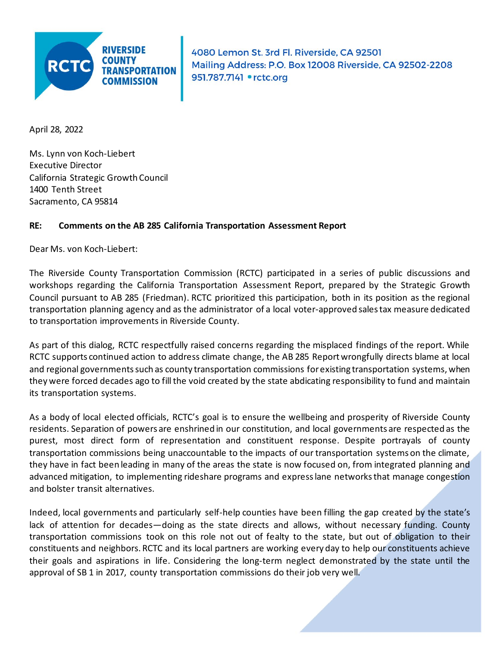

4080 Lemon St. 3rd Fl. Riverside, CA 92501 Mailing Address: P.O. Box 12008 Riverside, CA 92502-2208 951.787.7141 . rctc.org

April 28, 2022

Ms. Lynn von Koch-Liebert Executive Director California Strategic Growth Council 1400 Tenth Street Sacramento, CA 95814

#### **RE: Comments on the AB 285 California Transportation Assessment Report**

Dear Ms. von Koch-Liebert:

The Riverside County Transportation Commission (RCTC) participated in a series of public discussions and workshops regarding the California Transportation Assessment Report, prepared by the Strategic Growth Council pursuant to AB 285 (Friedman). RCTC prioritized this participation, both in its position as the regional transportation planning agency and as the administrator of a local voter-approved sales tax measure dedicated to transportation improvements in Riverside County.

As part of this dialog, RCTC respectfully raised concerns regarding the misplaced findings of the report. While RCTC supports continued action to address climate change, the AB 285 Report wrongfully directs blame at local and regional governments such as county transportation commissions for existing transportation systems, when they were forced decades ago to fill the void created by the state abdicating responsibility to fund and maintain its transportation systems.

As a body of local elected officials, RCTC's goal is to ensure the wellbeing and prosperity of Riverside County residents. Separation of powers are enshrined in our constitution, and local governments are respected as the purest, most direct form of representation and constituent response. Despite portrayals of county transportation commissions being unaccountable to the impacts of our transportation systems on the climate, they have in fact been leading in many of the areas the state is now focused on, from integrated planning and advanced mitigation, to implementing rideshare programs and express lane networks that manage congestion and bolster transit alternatives.

Indeed, local governments and particularly self-help counties have been filling the gap created by the state's lack of attention for decades—doing as the state directs and allows, without necessary funding. County transportation commissions took on this role not out of fealty to the state, but out of obligation to their constituents and neighbors. RCTC and its local partners are working every day to help our constituents achieve their goals and aspirations in life. Considering the long-term neglect demonstrated by the state until the approval of SB 1 in 2017, county transportation commissions do their job very well.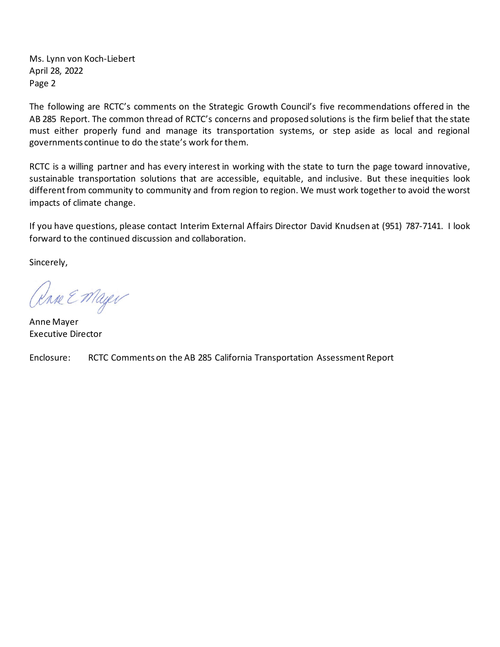Ms. Lynn von Koch-Liebert April 28, 2022 Page 2

The following are RCTC's comments on the Strategic Growth Council's five recommendations offered in the AB 285 Report. The common thread of RCTC's concerns and proposed solutions is the firm belief that the state must either properly fund and manage its transportation systems, or step aside as local and regional governments continue to do the state's work for them.

RCTC is a willing partner and has every interest in working with the state to turn the page toward innovative, sustainable transportation solutions that are accessible, equitable, and inclusive. But these inequities look different from community to community and from region to region. We must work together to avoid the worst impacts of climate change.

If you have questions, please contact Interim External Affairs Director David Knudsen at (951) 787-7141. I look forward to the continued discussion and collaboration.

Sincerely,

Rase E Mayer

Anne Mayer Executive Director

Enclosure: RCTC Comments on the AB 285 California Transportation Assessment Report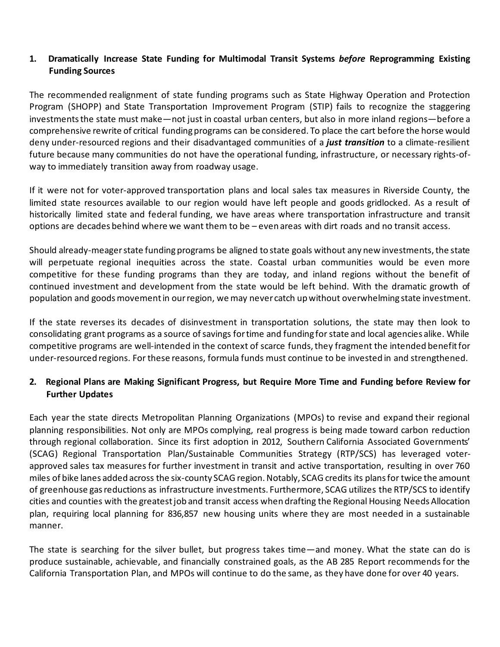## **1. Dramatically Increase State Funding for Multimodal Transit Systems** *before* **Reprogramming Existing Funding Sources**

The recommended realignment of state funding programs such as State Highway Operation and Protection Program (SHOPP) and State Transportation Improvement Program (STIP) fails to recognize the staggering investments the state must make—not just in coastal urban centers, but also in more inland regions—before a comprehensive rewrite of critical funding programs can be considered. To place the cart before the horse would deny under-resourced regions and their disadvantaged communities of a *just transition* to a climate-resilient future because many communities do not have the operational funding, infrastructure, or necessary rights-ofway to immediately transition away from roadway usage.

If it were not for voter-approved transportation plans and local sales tax measures in Riverside County, the limited state resources available to our region would have left people and goods gridlocked. As a result of historically limited state and federal funding, we have areas where transportation infrastructure and transit options are decades behind where we want them to be – even areas with dirt roads and no transit access.

Should already-meager state funding programs be aligned to state goals without any new investments, the state will perpetuate regional inequities across the state. Coastal urban communities would be even more competitive for these funding programs than they are today, and inland regions without the benefit of continued investment and development from the state would be left behind. With the dramatic growth of population and goods movement in our region, we may never catch up without overwhelming state investment.

If the state reverses its decades of disinvestment in transportation solutions, the state may then look to consolidating grant programs as a source of savings for time and funding for state and local agencies alike. While competitive programs are well-intended in the context of scarce funds, they fragment the intended benefit for under-resourced regions. For these reasons, formula funds must continue to be invested in and strengthened.

# **2. Regional Plans are Making Significant Progress, but Require More Time and Funding before Review for Further Updates**

Each year the state directs Metropolitan Planning Organizations (MPOs) to revise and expand their regional planning responsibilities. Not only are MPOs complying, real progress is being made toward carbon reduction through regional collaboration. Since its first adoption in 2012, Southern California Associated Governments' (SCAG) Regional Transportation Plan/Sustainable Communities Strategy (RTP/SCS) has leveraged voterapproved sales tax measures for further investment in transit and active transportation, resulting in over 760 miles of bike lanes added across the six-county SCAG region. Notably, SCAG credits its plans for twice the amount of greenhouse gas reductions as infrastructure investments. Furthermore, SCAG utilizes the RTP/SCS to identify cities and counties with the greatest job and transit access when drafting the Regional Housing Needs Allocation plan, requiring local planning for 836,857 new housing units where they are most needed in a sustainable manner.

The state is searching for the silver bullet, but progress takes time—and money. What the state can do is produce sustainable, achievable, and financially constrained goals, as the AB 285 Report recommends for the California Transportation Plan, and MPOs will continue to do the same, as they have done for over 40 years.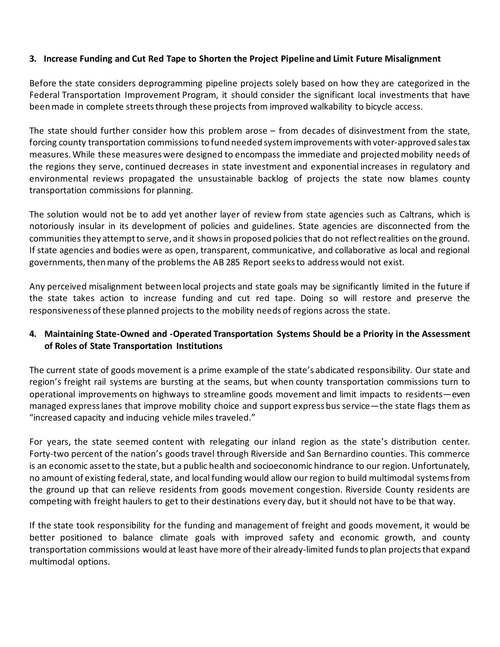### **3. Increase Funding and Cut Red Tape to Shorten the Project Pipeline and Limit Future Misalignment**

Before the state considers deprogramming pipeline projects solely based on how they are categorized in the Federal Transportation Improvement Program, it should consider the significant local investments that have been made in complete streets through these projects from improved walkability to bicycle access.

The state should further consider how this problem arose – from decades of disinvestment from the state, forcing county transportation commissions to fund needed system improvements with voter-approved sales tax measures. While these measures were designed to encompass the immediate and projected mobility needs of the regions they serve, continued decreases in state investment and exponential increases in regulatory and environmental reviews propagated the unsustainable backlog of projects the state now blames county transportation commissions for planning.

The solution would not be to add yet another layer of review from state agencies such as Caltrans, which is notoriously insular in its development of policies and guidelines. State agencies are disconnected from the communities they attempt to serve, and it shows in proposed policies that do not reflect realities on the ground. If state agencies and bodies were as open, transparent, communicative, and collaborative as local and regional governments, then many of the problems the AB 285 Report seeks to address would not exist.

Any perceived misalignment between local projects and state goals may be significantly limited in the future if the state takes action to increase funding and cut red tape. Doing so will restore and preserve the responsiveness of these planned projects to the mobility needs of regions across the state.

### **4. Maintaining State-Owned and -Operated Transportation Systems Should be a Priority in the Assessment of Roles of State Transportation Institutions**

The current state of goods movement is a prime example of the state's abdicated responsibility. Our state and region's freight rail systems are bursting at the seams, but when county transportation commissions turn to operational improvements on highways to streamline goods movement and limit impacts to residents—even managed express lanes that improve mobility choice and support express bus service—the state flags them as "increased capacity and inducing vehicle miles traveled."

For years, the state seemed content with relegating our inland region as the state's distribution center. Forty-two percent of the nation's goods travel through Riverside and San Bernardino counties. This commerce is an economic asset to the state, but a public health and socioeconomic hindrance to our region. Unfortunately, no amount of existing federal, state, and local funding would allow our region to build multimodal systems from the ground up that can relieve residents from goods movement congestion. Riverside County residents are competing with freight haulers to get to their destinations every day, but it should not have to be that way.

If the state took responsibility for the funding and management of freight and goods movement, it would be better positioned to balance climate goals with improved safety and economic growth, and county transportation commissions would at least have more of their already-limited funds to plan projects that expand multimodal options.